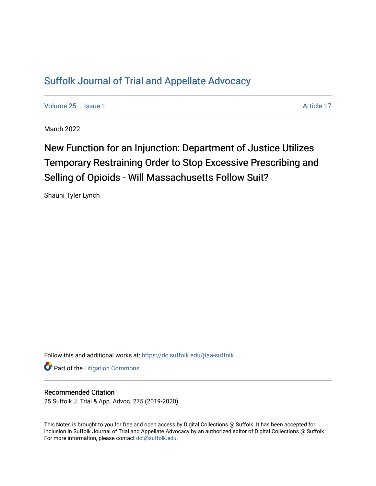## [Suffolk Journal of Trial and Appellate Advocacy](https://dc.suffolk.edu/jtaa-suffolk)

[Volume 25](https://dc.suffolk.edu/jtaa-suffolk/vol25) | [Issue 1](https://dc.suffolk.edu/jtaa-suffolk/vol25/iss1) Article 17

March 2022

# New Function for an Injunction: Department of Justice Utilizes Temporary Restraining Order to Stop Excessive Prescribing and Selling of Opioids - Will Massachusetts Follow Suit?

Shauni Tyler Lynch

Follow this and additional works at: [https://dc.suffolk.edu/jtaa-suffolk](https://dc.suffolk.edu/jtaa-suffolk?utm_source=dc.suffolk.edu%2Fjtaa-suffolk%2Fvol25%2Fiss1%2F17&utm_medium=PDF&utm_campaign=PDFCoverPages) 

**Part of the [Litigation Commons](https://network.bepress.com/hgg/discipline/910?utm_source=dc.suffolk.edu%2Fjtaa-suffolk%2Fvol25%2Fiss1%2F17&utm_medium=PDF&utm_campaign=PDFCoverPages)** 

#### Recommended Citation

25 Suffolk J. Trial & App. Advoc. 275 (2019-2020)

This Notes is brought to you for free and open access by Digital Collections @ Suffolk. It has been accepted for inclusion in Suffolk Journal of Trial and Appellate Advocacy by an authorized editor of Digital Collections @ Suffolk. For more information, please contact [dct@suffolk.edu](mailto:dct@suffolk.edu).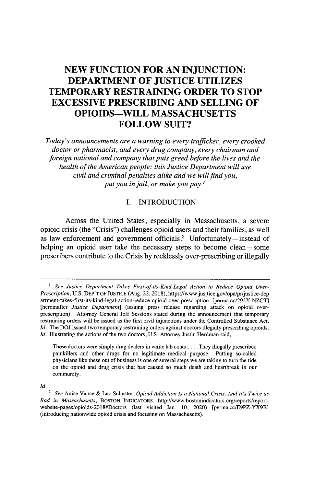### **NEW FUNCTION FOR AN INJUNCTION: DEPARTMENT OF JUSTICE UTILIZES TEMPORARY RESTRAINING ORDER TO STOP EXCESSIVE PRESCRIBING AND SELLING OF OPIOIDS-WILL MASSACHUSETTS FOLLOW SUIT?**

*Today's announcements are a warning to every trafficker, every crooked doctor or pharmacist, and every drug company, every chairman and foreign national and company that puts greed before the lives and the health of the American people: this Justice Department will use civil and criminal penalties alike and we willfind you, put you in jail, or make you pay.'*

#### I. INTRODUCTION

Across the United States, especially in Massachusetts, a severe opioid crisis (the "Crisis") challenges opioid users and their families, as well as law enforcement and government officials.<sup>2</sup> Unfortunately-instead of helping an opioid user take the necessary steps to become clean-some prescribers contribute to the Crisis by recklessly over-prescribing or illegally

These doctors were simply drug dealers in white lab coats .... They illegally prescribed painkillers and other drugs for no legitimate medical purpose. Putting so-called physicians like these out of business is one of several steps we are taking to turn the tide on the opioid and drug crisis that has caused so much death and heartbreak in our community.

*Id.*

*<sup>1</sup> See Justice Department Takes First-of-its-Kind-Legal Action to Reduce Opioid Over-Prescription,* U.S. DEP'T OF JUSTICE (Aug. 22, **2018),** https://www.justice.gov/opa/pr/justice-dep artment-takes-first-its-kind-legal-action-reduce-opioid-over-prescription [perma.cc/292Y-NZCT] [hereinafter *Justice Department]* (issuing press release regarding attack on opioid overprescription). Attorney General Jeff Sessions stated during the announcement that temporary restraining orders will be issued as the first civil injunctions under the Controlled Substance Act. *Id.* The DOJ issued two temporary restraining orders against doctors illegally prescribing opioids. *Id.* Illustrating the actions of the two doctors, U.S. Attorney Justin Herdman said,

<sup>2</sup> *See* Anise Vance & Luc Schuster, *Opioid Addiction Is a National Crisis. And It's Twice as Bad in Massachusetts,* BOSTON INDICATORS, http://www.bostonindicators.org/reports/reportwebsite-pages/opioids-2018#Doctors (last visited Jan. 10, 2020) [perma.cc/E9PZ-YX9B] (introducing nationwide opioid crisis and focusing on Massachusetts).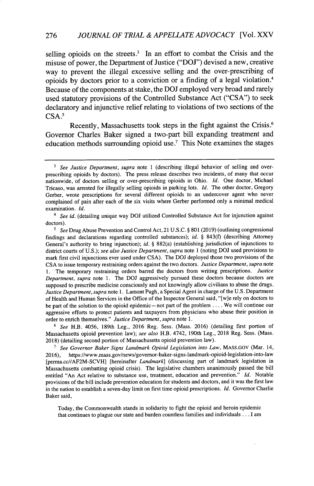selling opioids on the streets.<sup>3</sup> In an effort to combat the Crisis and the misuse of power, the Department of Justice **("DOJ")** devised a new, creative way to prevent the illegal excessive selling and the over-prescribing of opioids **by** doctors prior to a conviction or a finding of a legal violation.<sup>4</sup> Because of the components at stake, the **DOJ** employed very broad and rarely used statutory provisions of the Controlled Substance Act **("CSA")** to seek declaratory and injunctive relief relating to violations of two sections of the **CSA.<sup>5</sup>**

Recently, Massachusetts took steps in the fight against the Crisis.<sup>6</sup> Governor Charles Baker signed a two-part bill expanding treatment and education methods surrounding opioid use.' This Note examines the stages

6 *See* H.B. 4056, 189th Leg., 2016 Reg. Sess. (Mass. 2016) (detailing first portion of Massachusetts opioid prevention law); see *also* H.B. 4742, 190th Leg., 2018 Reg. Sess. (Mass. 2018) (detailing second portion of Massachusetts opioid prevention law).

**7** *See Governor Baker Signs Landmark Opioid Legislation into Law,* MASS.GOV (Mar. 14, 2016), https://www .mass.gov/news/governor-baker-signs-landmark-opioid-legislation-into-law [perma.cc//AF2M-SCVH] [hereinafter *Landmark]* (discussing part of landmark legislation in Massachusetts combatting opioid crisis). The legislative chambers unanimously passed the bill entitled "An Act relative to substance use, treatment, education and prevention." *Id.* Notable provisions of the bill include prevention education for students and doctors, and it was the first law in the nation to establish a seven-day limit on first time opioid prescriptions. *Id.* Governor Charlie Baker said,

Today, the Commonwealth stands in solidarity to fight the opioid and heroin epidemic that continues to plague our state and burden countless families and individuals ... I am

**<sup>3</sup>** *See Justice Department, supra* note 1 (describing illegal behavior of selling and overprescribing opioids by doctors). The press release describes two incidents, of many that occur nationwide, of doctors selling or over-prescribing opioids in Ohio. *Id.* One doctor, Michael Tricaso, was arrested for illegally selling opioids in parking lots. *Id.* The other doctor, Gregory Gerber, wrote prescriptions for several different opioids to an undercover agent who never complained of pain after each of the six visits where Gerber performed only a minimal medical examination. *Id.*

<sup>4</sup> *See id.* (detailing unique way DOJ utilized Controlled Substance Act for injunction against doctors).

**<sup>5</sup>** *See* Drug Abuse Prevention and Control Act,21 U.S.C. *§* **801** (2019) (outlining congressional findings and declarations regarding controlled substances); *id. §* 843(f) (describing Attorney General's authority to bring injunction); *id. §* 882(a) (establishing jurisdiction of injunctions to district courts of U.S.); *see also Justice Department, supra* note 1 (noting DOJ used provisions to mark first civil injunctions ever used under CSA). The DOJ deployed those two provisions of the CSA to issue temporary restraining orders against the two doctors. *Justice Department, supra* note 1. The temporary restraining orders barred the doctors from writing prescriptions. *Justice Department, supra* note 1. The DOJ aggressively pursued these doctors because doctors are supposed to prescribe medicine consciously and not knowingly allow civilians to abuse the drugs. *Justice Department, supra* note 1. Lamont Pugh, a Special Agent in charge of the U.S. Department of Health and Human Services in the Office of the Inspector General said, "[wie rely on doctors to be part of the solution to the opioid epidemic-not part of the problem .... We will continue our aggressive efforts to protect patients and taxpayers from physicians who abuse their position in order to enrich themselves." *Justice Department, supra* note 1.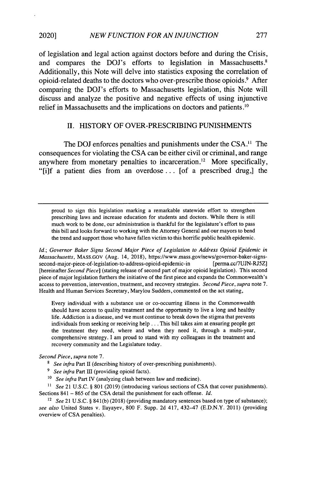of legislation and legal action against doctors before and during the Crisis, and compares the **DOJ**'s efforts to legislation in Massachusetts.<sup>8</sup> Additionally, this Note will delve into statistics exposing the correlation of opioid-related deaths to the doctors who over-prescribe those opioids.9 After comparing the **DOJ's** efforts to Massachusetts legislation, this Note will discuss and analyze the positive and negative effects of using injunctive relief in Massachusetts and the implications on doctors and patients.<sup>10</sup>

#### **II.** HISTORY OF OVER-PRESCRIBING **PUNISHMENTS**

The **DOJ** enforces penalties and punishments under the **CSA. <sup>1</sup>**The consequences for violating the **CSA** can be either civil or criminal, and range anywhere from monetary penalties to incarceration.<sup>12</sup> More specifically, **"[ilf** a patient dies from an overdose **...** [of a prescribed drug,] the

proud to sign this legislation marking a remarkable statewide effort to strengthen prescribing laws and increase education for students and doctors. While there is still much work to be done, our administration is thankful for the legislature's effort to pass this bill and looks forward to working with the Attorney General and our mayors to bend the trend and support those who have fallen victim to this horrific public health epidemic.

*Id.; Governor Baker Signs Second* Major *Piece of Legislation to Address Opioid Epidemic in Massachusetts,* MASS.GOV (Aug. 14, 2018), https://www.mass.gov/news/govemor-baker-signssecond-major-piece-of-legislation-to-address-opioid-epidemic-in [perma.cc/7UJN-RJ5Z] [hereinafter *Second Piece]* (stating release of second part of major opioid legislation). This second piece of major legislation furthers the initiative of the first piece and expands the Commonwealth's access to prevention, intervention, treatment, and recovery strategies. *Second Piece, supra* note 7. Health and Human Services Secretary, Marylou Sudders, commented on the act stating,

Every individual with a substance use or co-occurring illness in the Commonwealth should have access to quality treatment and the opportunity to live a long and healthy life. Addiction is a disease, and we must continue to break down the stigma that prevents individuals from seeking or receiving help... This bill takes aim at ensuring people get the treatment they need, where and when they need it, through a multi-year, comprehensive strategy. I am proud to stand with my colleagues in the treatment and recovery community and the Legislature today.

*Second Piece, supra* note 7.

<sup>8</sup> *See infra* Part II (describing history of over-prescribing punishments).

<sup>9</sup> *See infra Part III* (providing opioid facts).

*10 See infra* Part IV (analyzing clash between law and medicine).

<sup>11</sup> See 21 U.S.C. § 801 (2019) (introducing various sections of CSA that cover punishments). Sections 841 - 865 of the CSA detail the punishment for each offense. *Id.*

<sup>12</sup> See 21 U.S.C. § 841(b) (2018) (providing mandatory sentences based on type of substance); *see also* United States v. Ilayayev, 800 F. Supp. 2d 417, 432-47 (E.D.N.Y. 2011) (providing overview of CSA penalties).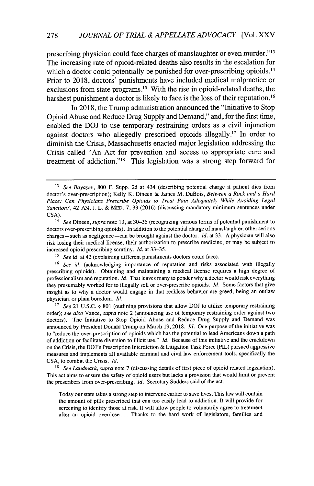prescribing physician could face charges of manslaughter or even murder."<sup>13</sup> The increasing rate of opioid-related deaths also results in the escalation for which a doctor could potentially be punished for over-prescribing opioids.<sup>14</sup> Prior to **2018,** doctors' punishments have included medical malpractice or exclusions from state programs.<sup>15</sup> With the rise in opioid-related deaths, the harshest punishment a doctor is likely to face is the loss of their reputation.<sup>16</sup>

In **2018,** the Trump administration announced the "Initiative to Stop Opioid Abuse and Reduce Drug Supply and Demand," and, for the first time, enabled the **DOJ** to use temporary restraining orders as a civil injunction against doctors who allegedly prescribed opioids illegally.<sup>17</sup> In order to diminish the Crisis, Massachusetts enacted major legislation addressing the Crisis called "An Act for prevention and access to appropriate care and treatment of addiction."<sup>18</sup> This legislation was a strong step forward for

<sup>13</sup>*See Ilayayev,* 800 F. Supp. 2d at 434 (describing potential charge if patient dies from doctor's over-prescription); Kelly K. Dineen & James M. DuBois, *Between a Rock and a Hard Place: Can Physicians Prescribe Opioids to Treat Pain Adequately While Avoiding Legal Sanction?,* 42 AM. J. L. & MED. 7, 33 (2016) (discussing mandatory minimum sentences under CSA).

<sup>14</sup>*See Dineen, supra* note 13, at 30-35 (recognizing various forms of potential punishment to doctors over-prescribing opioids). In addition to the potential charge of manslaughter, other serious charges-such as negligence-can be brought against the doctor. *Id.* at 33. A physician will also risk losing their medical license, their authorization to prescribe medicine, or may be subject to increased opioid prescribing scrutiny. *Id.* at 33-35.

**<sup>15</sup>***See id.* at 42 (explaining different punishments doctors could face).

<sup>&</sup>lt;sup>16</sup> See id. (acknowledging importance of reputation and risks associated with illegally prescribing opioids). Obtaining and maintaining a medical license requires a high degree of professionalism and reputation. *Id.* That leaves many to ponder why a doctor would risk everything they presumably worked for to illegally sell or over-prescribe opioids. *Id.* Some factors that give insight as to why a doctor would engage in that reckless behavior are greed, being an outlaw physician, or plain boredom. *Id.*

<sup>&</sup>lt;sup>17</sup> See 21 U.S.C. § 801 (outlining provisions that allow DOJ to utilize temporary restraining order); *see also* Vance, *supra* note 2 (announcing use of temporary restraining order against two doctors). The Initiative to Stop Opioid Abuse and Reduce Drug Supply and Demand was announced by President Donald Trump on March 19, 2018. *Id.* One purpose of the initiative was to "reduce the over-prescription of opioids which has the potential to lead Americans down a path of addiction or facilitate diversion to illicit use." *Id.* Because of this initiative and the crackdown on the Crisis, the DOJ's Prescription Interdiction & Litigation Task Force (PIL) pursued aggressive measures and implements all available criminal and civil law enforcement tools, specifically the CSA, to combat the Crisis. *Id.*

**<sup>18</sup>** *See Landmark, supra* note 7 (discussing details of first piece of opioid related legislation). This act aims to ensure the safety of opioid users but lacks a provision that would limit or prevent the prescribers from over-prescribing. *Id.* Secretary Sudders said of the act,

Today our state takes a strong step to intervene earlier to save lives. This law will contain the amount of pills prescribed that can too easily lead to addiction. It will provide for screening to identify those at risk. It will allow people to voluntarily agree to treatment after an opioid overdose ... Thanks to the hard work of legislators, families and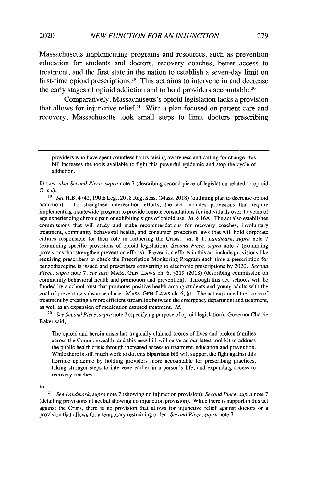Massachusetts implementing programs and resources, such as prevention education for students and doctors, recovery coaches, better access to treatment, and the first state in the nation to establish a seven-day limit on first-time opioid prescriptions.<sup>19</sup> This act aims to intervene in and decrease the early stages of opioid addiction and to hold providers accountable.<sup>20</sup>

Comparatively, Massachusetts's opioid legislation lacks a provision that allows for injunctive relief.<sup>21</sup> With a plan focused on patient care and recovery, Massachusetts took small steps to limit doctors prescribing

<sup>19</sup>*See* H.B. 4742, 190th Leg., 2018 Reg. Sess. (Mass. 2018) (outlining plan to decrease opioid addiction). To strengthen intervention efforts, the act includes provisions that require implementing a statewide program to provide remote consultations for individuals over 17 years of age experiencing chronic pain or exhibiting signs of opioid use. *Id.* § 16A. The act also establishes commissions that will study and make recommendations for recovery coaches, involuntary treatment, community behavioral health, and consumer protection laws that will hold corporate entities responsible for their role in furthering the Crisis. *Id.* § 1; *Landmark, supra* note 7 (examining specific provisions of opioid legislation); *Second Piece, supra* note 7 (examining provisions that strengthen prevention efforts). Prevention efforts in this act include provisions like requiring prescribers to check the Prescription Monitoring Program each time a prescription for benzodiazepine is issued and prescribers converting to electronic prescriptions by 2020. *Second Piece, supra* note 7; *see also* MASS. GEN. LAWS ch. 6, §219 (2018) (describing commission on community behavioral health and promotion and prevention). Through this act, schools will be funded by a school trust that promotes positive health among students and young adults with the goal of preventing substance abuse. MASS. GEN. LAWS ch. 6, § 1. The act expanded the scope of treatment by creating a more efficient streamline between the emergency department and treatment, as well as an expansion of medication assisted treatment. *Id.*

<sup>20</sup>*See Second Piece, supra* note 7 (specifying purpose of opioid legislation). Governor Charlie Baker said,

The opioid and heroin crisis has tragically claimed scores of lives and broken families across the Commonwealth, and this new bill will serve as our latest tool kit to address the public health crisis through increased access to treatment, education and prevention. While there is still much work to do, this bipartisan bill will support the fight against this horrible epidemic by holding providers more accountable for prescribing practices, taking stronger steps to intervene earlier in a person's life, and expanding access to recovery coaches.

*Id.*

<sup>21</sup>*See Landmark, supra* note 7 (showing no injunction provision); *Second Piece, supra* note 7 (detailing provisions of act but showing no injunction provision). While there is support in this act against the Crisis, there is no provision that allows for injunctive relief against doctors or a provision that allows for a temporary restraining order. *Second Piece, supra* note 7

providers who have spent countless hours raising awareness and calling for change, this bill increases the tools available to fight this powerful epidemic and stop the cycle of addiction.

*Id.; see also Second Piece, supra* note 7 (describing second piece of legislation related to opioid Crisis).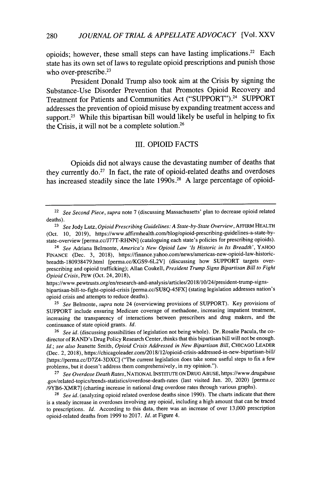opioids; however, these small steps can have lasting implications.<sup>22</sup> Each state has its own set of laws to regulate opioid prescriptions and punish those who over-prescribe.<sup>23</sup>

President Donald Trump also took aim at the Crisis by signing the Substance-Use Disorder Prevention that Promotes Opioid Recovery and Treatment for Patients and Communities Act ("SUPPORT") .24 SUPPORT addresses the prevention of opioid misuse by expanding treatment access and support.<sup>25</sup> While this bipartisan bill would likely be useful in helping to fix the Crisis, it will not be a complete solution.<sup>26</sup>

#### III. OPIOID FACTS

Opioids did not always cause the devastating number of deaths that they currently  $do.^{27}$  In fact, the rate of opioid-related deaths and overdoses has increased steadily since the late 1990s.<sup>28</sup> A large percentage of opioid-

https://www.pewtrusts.org/en/research-and-analysis/articles/2018/10/2 4 /president-trump-signsbipartisan-bill-to-fight-opioid-crisis [perma.cc/SU8Q-45FX] (stating legislation addresses nation's opioid crisis and attempts to reduce deaths).

<sup>25</sup>*See* Belmonte, *supra* note 24 (overviewing provisions of SUPPORT). Key provisions of SUPPORT include ensuring Medicare coverage of methadone, increasing impatient treatment, increasing the transparency of interactions between prescribers and drug makers, and the continuance of state opioid grants. *Id.*

26 *See id.* (discussing possibilities of legislation not being whole). Dr. Rosalie Pacula, the codirector of RAND's Drug Policy Research Center, thinks that this bipartisan bill will not be enough. *Id.; see also* Jeanette Smith, *Opioid Crisis Addressed in New Bipartisan Bill,* CHICAGO LEADER (Dec. 2, 2018), https://chicagoleader.com/2018/12/opioid-crisis-addressed-in-new-bipartisan-bil/ [https://perma.cc/D7Z4-3DXC] ("The current legislation does take some useful steps to fix a few problems, but it doesn't address them comprehensively, in my opinion.").

<sup>27</sup>*See Overdose Death Rates,* NATIONAL INSTITUTE ON DRUG ABUSE, https://www.drugabuse .gov/related-topics/trends-statistics/overdose-death-rates (last visited Jan. 20, 2020) [perma.cc /9YB6-XMR7] (charting increase in national drug overdose rates through various graphs).

<sup>28</sup> See id. (analyzing opioid related overdose deaths since 1990). The charts indicate that there is a steady increase in overdoses involving any opioid, including a high amount that can be traced to prescriptions. *Id.* According to this data, there was an increase of over 13,000 prescription opioid-related deaths from 1999 to 2017. *Id.* at Figure 4.

<sup>22</sup>*See Second Piece, supra* note 7 (discussing Massachusetts' plan to decrease opioid related deaths).

<sup>23</sup>*See* Jody Lutz, *Opioid Prescribing Guidelines: A State-by-State Overview,* AFFIRM HEALTH (Oct. 10, 2019), https://www.affirmhealth.com/blog/opioid-prescribing-guidelines-a-state-bystate-overview [perma.cc/J77T-RHNN] (cataloguing each state's policies for prescribing opioids).

<sup>24</sup>*See* Adriana Belmonte, *America's New Opioid Law 'Is Historic in Its Breadth',* YAHOO FINANCE (Dec. 3, 2018), https://finance.yahoo.com/news/americas-new-opioid-law-historicbreadth-180938479.html [perma.cc/KGS9-6L2V] (discussing how SUPPORT targets overprescribing and opioid trafficking); Allan Coukell, *President Trump Signs Bipartisan Bill to Fight Opioid Crisis,* PEW (Oct. 24, 2018),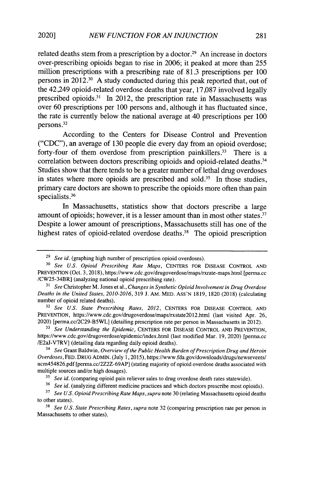related deaths stem from a prescription by a doctor.<sup>29</sup> An increase in doctors over-prescribing opioids began to rise in 2006; it peaked at more than 255 million prescriptions with a prescribing rate of 81.3 prescriptions per 100 persons in 2012.<sup>30</sup> A study conducted during this peak reported that, out of the 42,249 opioid-related overdose deaths that year, 17,087 involved legally prescribed opioids.31 In 2012, the prescription rate in Massachusetts was over 60 prescriptions per 100 persons and, although it has fluctuated since, the rate is currently below the national average at 40 prescriptions per 100 persons **.32**

According to the Centers for Disease Control and Prevention **("CDC"),** an average of **130** people die every day from an opioid overdose; forty-four of them overdose from prescription painkillers.<sup>33</sup> There is a correlation between doctors prescribing opioids and opioid-related deaths.<sup>34</sup> Studies show that there tends to be a greater number of lethal drug overdoses in states where more opioids are prescribed and sold.<sup>35</sup> In those studies, primary care doctors are shown to prescribe the opioids more often than pain specialists **.36**

In Massachusetts, statistics show that doctors prescribe a large amount of opioids; however, it is a lesser amount than in most other states. $37$ Despite a lower amount of prescriptions, Massachusetts still has one of the highest rates of opioid-related overdose deaths.<sup>38</sup> The opioid prescription

<sup>29</sup>*See id.* (graphing high number of prescription opioid overdoses).

**<sup>30</sup>***See U.S. Opioid Prescribing Rate Maps,* CENTERS FOR DISEASE CONTROL **AND** PREVENTION (Oct. 3, 2018), https://www.cdc.gov/drugoverdose/maps/rxrate-maps.html [perma.cc /CW25-34BR] (analyzing national opioid prescribing rate).

<sup>31</sup>*See* Christopher M. Jones et al., *Changes in Synthetic Opioid Involvement in Drug Overdose Deaths in the United States, 2010-2016,* 319 J. AM. MED. ASS'N 1819, 1820 (2018) (calculating number of opioid related deaths).

<sup>32</sup>*See U.S. State Prescribing Rates, 2012,* CENTERS FOR DISEASE CONTROL AND PREVENTION, https://www.cdc.gov/drugoverdose/maps/rxstate20l2.html (last visited Apr. 26, 2020) [perma.cc/2C29-B5WL] (detailing prescription rate per person in Massachusetts in 2012).

**<sup>33</sup>***See Understanding the Epidemic,* CENTERS FOR DISEASE CONTROL AND PREVENTION, https://www.cdc.gov/drugoverdose/epidemic/index.html (last modified Mar. 19, 2020) [perma.cc /E2aJ-V7RV] (detailing data regarding daily opioid deaths).

<sup>34</sup>*See* Grant Baldwin, *Overview of the Public Health Burden of Prescription Drug and Heroin Overdoses,* FED. DRUG ADMIN. (July 1,2015), https://www.fda.gov/downloads/drugs/newsevents/ ucm454826.pdf [perma.cc/2Z2Z-69AP] (stating majority of opioid overdose deaths associated with multiple sources and/or high dosages).

**<sup>35</sup>***See id.* (comparing opioid pain reliever sales to drug overdose death rates statewide).

<sup>36</sup>*See id.* (analyzing different medicine practices and which doctors prescribe most opioids).

**<sup>37</sup>***See U.S. Opioid Prescribing Rate Maps, supra* note 30 (relating Massachusetts opioid deaths to other states).

<sup>38</sup>*See U.S. State Prescribing Rates, supra* note 32 (comparing prescription rate per person in Massachusetts to other states).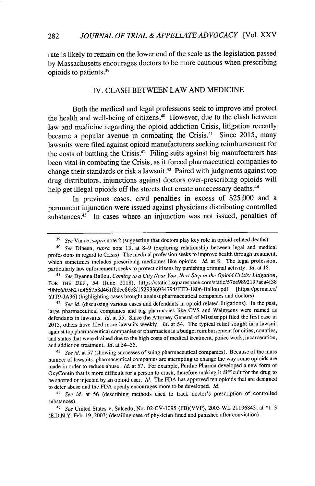rate is likely to remain on the lower end of the scale as the legislation passed **by** Massachusetts encourages doctors to be more cautious when prescribing opioids to patients.39

#### IV. **CLASH BETWEEN** LAW **AND MEDICINE**

Both the medical and legal professions seek to improve and protect the health and well-being of citizens. $40$  However, due to the clash between law and medicine regarding the opioid addiction Crisis, litigation recently became a popular avenue in combating the Crisis.<sup>41</sup> Since 2015, many lawsuits were filed against opioid manufacturers seeking reimbursement for the costs of battling the Crisis **.42** Filing suits against big manufacturers has been vital in combating the Crisis, as it forced pharmaceutical companies to change their standards or risk a lawsuit.<sup>43</sup> Paired with judgments against top drug distributors, injunctions against doctors over-prescribing opioids will help get illegal opioids off the streets that create unnecessary deaths.<sup>44</sup>

In previous cases, civil penalties in excess of **\$25,000** and a permanent injunction were issued against physicians distributing controlled substances.<sup>45</sup> In cases where an injunction was not issued, penalties of

<sup>42</sup> See id. (discussing various cases and defendants in opioid related litigations). In the past, large pharmaceutical companies and big pharmacies like CVS and Walgreens were named as defendants in lawsuits. *Id.* at 55. Since the Attorney General of Mississippi filed the first case in 2015, others have filed more lawsuits weekly. *Id.* at 54. The typical relief sought in a lawsuit against top pharmaceutical companies or pharmacies is a budget reimbursement for cities, counties, and states that were drained due to the high costs of medical treatment, police work, incarceration, and addiction treatment. *Id.* at 54-55.

*<sup>39</sup>See* Vance, *supra* note 2 (suggesting that doctors play key role in opioid-related deaths).

*<sup>40</sup> See* Dineen, *supra* note 13, at **8-9** (exploring relationship between legal and medical professions in regard to Crisis). The medical profession seeks to improve health through treatment, which sometimes includes prescribing medicines like opioids. *Id.* at 8. The legal profession, particularly law enforcement, seeks to protect citizens by punishing criminal activity. *Id.* at 18.

<sup>41</sup>*See* Dyanna Ballou, *Coming to a City Near You, Next Step in the Opioid Crisis: Litigation,* FOR THE DEF., 54 (June 2018), https://static1.squarespace.com/static/57ee9892197aea4f38 ffbfc6/t/5b27d466758d461f8dcc86c8/1529336934794/FTD- 1806-Ballou.pdf [https://perma.cc/ YJT9-JA36] (highlighting cases brought against pharmaceutical companies and doctors).

*<sup>43</sup> See id.* at 57 (showing successes of suing pharmaceutical companies). Because of the mass number of lawsuits, pharmaceutical companies are attempting to change the way some opioids are made in order to reduce abuse. *Id.* at 57. For example, Purdue Pharma developed a new form of OxyContin that is more difficult for a person to crush, therefore making it difficult for the drug to be snorted or injected by an opioid user. *Id.* The FDA has approved ten opioids that are designed to deter abuse and the FDA openly encourages more to be developed. *Id.*

*<sup>44</sup> See id.* at 56 (describing methods used to track doctor's prescription of controlled substances).

<sup>45</sup>*See* United States v. Salcedo, No. 02-CV-1095 (FB)(VVP), 2003 WL 21196843, at \*1-3 (E.D.N.Y. Feb. 19, 2003) (detailing case of physician fined and punished after conviction).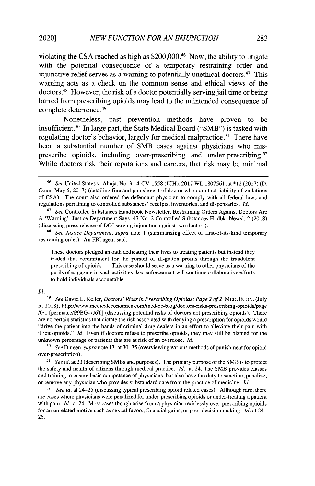violating the CSA reached as high as  $$200,000<sup>46</sup>$  Now, the ability to litigate with the potential consequence of a temporary restraining order and injunctive relief serves as a warning to potentially unethical doctors.<sup>47</sup> This warning acts as a check on the common sense and ethical views of the doctors .48 However, the risk of a doctor potentially serving jail time or being barred from prescribing opioids may lead to the unintended consequence of complete deterrence.<sup>49</sup>

Nonetheless, past prevention methods have proven to be insufficient.<sup>50</sup> In large part, the State Medical Board ("SMB") is tasked with regulating doctor's behavior, largely for medical malpractice.<sup>51</sup> There have been a substantial number of SMB cases against physicians who misprescribe opioids, including over-prescribing and under-prescribing .52 While doctors risk their reputations and careers, that risk may be minimal

These doctors pledged an oath dedicating their lives to treating patients but instead they traded that commitment for the pursuit of ill-gotten profits through the fraudulent prescribing of opioids ... This case should serve as a warning to other physicians of the perils of engaging in such activities, law enforcement will continue collaborative efforts to hold individuals accountable.

#### *Id.*

*<sup>50</sup>See Dineen, supra* note 13, at 30-35 (overviewing various methods of punishment for opioid over-prescription).

*<sup>51</sup>See id.* at 23 (describing SMBs and purposes). The primary purpose of the SMB is to protect the safety and health of citizens through medical practice. *Id.* at 24. The SMB provides classes and training to ensure basic competence of physicians, but also have the duty to sanction, penalize, or remove any physician who provides substandard care from the practice of medicine. *Id.*

<sup>52</sup>*See id.* at 24-25 (discussing typical prescribing opioid related cases). Although rare, there are cases where physicians were penalized for under-prescribing opioids or under-treating a patient with pain. *Id.* at 24. Most cases though arise from a physician recklessly over-prescribing opioids for an unrelated motive such as sexual favors, financial gains, or poor decision making. *Id.* at 24- 25.

<sup>46</sup>*See* United States v. Ahuja, No. 3:14-CV-1558 (JCH), 2017 WL 1807561, at \*12 (2017) (D. Conn. May 5, 2017) (detailing fine and punishment of doctor who admitted liability of violations of CSA). The court also ordered the defendant physician to comply with all federal laws and regulations pertaining to controlled substances' receipts, inventories, and dispensaries. *Id.*

<sup>47</sup>*See* Controlled Substances Handbook Newsletter, Restraining Orders Against Doctors Are A 'Warning', Justice Department Says, 47 No. 2 Controlled Substances Hndbk. Newsl. 2 (2018) (discussing press release of DOJ serving injunction against two doctors).

*<sup>48</sup>See Justice Department, supra* note 1 (summarizing effect of first-of-its-kind temporary restraining order). An FBI agent said:

<sup>49</sup>*See* David L. Keller, *Doctors' Risks in Prescribing Opioids: Page 2 of 2,* MED. ECON. (July 5, 2018), http://www.medicaleconomics.com/med-ec-blog/doctors-risks-prescribing-opioids/page /0/1 [perma.cc/P9BG-7J6T] (discussing potential risks of doctors not prescribing opioids). There are no certain statistics that dictate the risk associated with denying a prescription for opioids would "drive the patient into the hands of criminal drug dealers in an effort to alleviate their pain with illicit opioids." *Id.* Even if doctors refuse to prescribe opioids, they may still be blamed for the unknown percentage of patients that are at risk of an overdose. *Id.*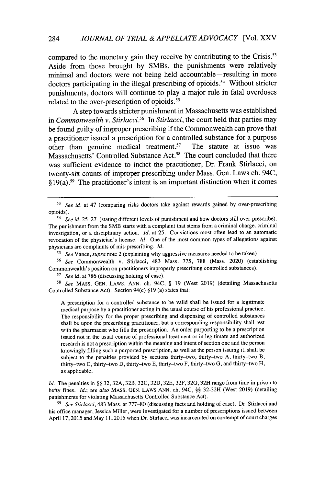compared to the monetary gain they receive by contributing to the Crisis.<sup>53</sup> Aside from those brought **by** SMBs, the punishments were relatively minimal and doctors were not being held accountable-resulting in more  $d$  doctors participating in the illegal prescribing of opioids.<sup>54</sup> Without stricter punishments, doctors will continue to play a major role in fatal overdoses related to the over-prescription of opioids.<sup>55</sup>

**A** step towards stricter punishment in Massachusetts was established in *Commonwealth v. Stirlacci.*<sup>56</sup> In *Stirlacci*, the court held that parties may be found guilty of improper prescribing if the Commonwealth can prove that a practitioner issued a prescription for a controlled substance for a purpose other than genuine medical treatment.<sup>57</sup> The statute at issue was other than genuine medical treatment. $57$ Massachusetts' Controlled Substance **Act <sup>8</sup> . <sup>5</sup>**The court concluded that there was sufficient evidence to indict the practitioner, Dr. Frank Stirlacci, on twenty-six counts of improper prescribing under Mass. Gen. Laws ch. 94C,  $$19(a)$ .<sup>59</sup> The practitioner's intent is an important distinction when it comes

<sup>56</sup>*See* Commonwealth v. Stirlacci, 483 Mass. 775, 788 (Mass. 2020) (establishing Commonwealth's position on practitioners improperly prescribing controlled substances).

*<sup>57</sup>See id.* at 786 (discussing holding of case).

<sup>58</sup>*See* MASS. GEN. LAWS. ANN. ch. 94C, § 19 (West 2019) (detailing Massachusetts Controlled Substance Act). Section 94(c) § 19 (a) states that:

A prescription for a controlled substance to be valid shall be issued for a legitimate medical purpose by a practitioner acting in the usual course of his professional practice. The responsibility for the proper prescribing and dispensing of controlled substances shall be upon the prescribing practitioner, but a corresponding responsibility shall rest with the pharmacist who fills the prescription. An order purporting to be a prescription issued not in the usual course of professional treatment or in legitimate and authorized research is not a prescription within the meaning and intent of section one and the person knowingly filling such a purported prescription, as well as the person issuing it, shall be subject to the penalties provided by sections thirty-two, thirty-two A, thirty-two B, thirty-two C, thirty-two D, thirty-two **E,** thirty-two F, thirty-two G, and thirty-two H, as applicable.

*Id.* The penalties in §§ 32, 32A, 32B, 32C, 32D, 32E, 32F, 32G, 32H range from time in prison to hefty fines. *Id.; see also* MASS. GEN. LAWS ANN. ch. 94C, §§ 32-32H (West 2019) (detailing punishments for violating Massachusetts Controlled Substance Act).

*<sup>59</sup>See Stirlacci,* 483 Mass. at 777-80 (discussing facts and holding of case). Dr. Stirlacci and his office manager, Jessica Miller, were investigated for a number of prescriptions issued between April 17, 2015 and May 11,2015 when Dr. Stirlacci was incarcerated on contempt of court charges

*<sup>53</sup>See id.* at 47 (comparing risks doctors take against rewards gained by over-prescribing opioids).

*<sup>54</sup> See id.* 25-27 (stating different levels of punishment and how doctors still over-prescribe). The punishment from the SMB starts with a complaint that stems from a criminal charge, criminal investigation, or a disciplinary action. *Id.* at 25. Convictions most often lead to an automatic revocation of the physician's license. *Id.* One of the most common types of allegations against physicians are complaints of mis-prescribing. *Id.*

*<sup>55</sup>See* Vance, *supra* note 2 (explaining why aggressive measures needed to be taken).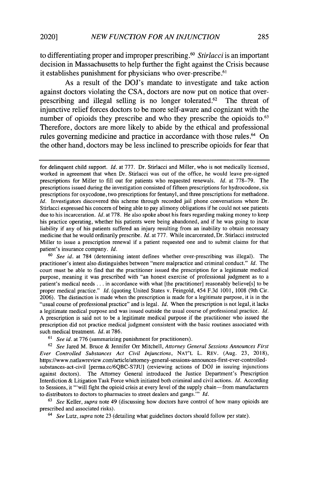to differentiating proper and improper prescribing.<sup>60</sup> Stirlacci is an important decision in Massachusetts to help further the fight against the Crisis because it establishes punishment for physicians who over-prescribe.<sup>61</sup>

As a result of the DOJ's mandate to investigate and take action against doctors violating the CSA, doctors are now put on notice that overprescribing and illegal selling is no longer tolerated.<sup>62</sup> The threat of injunctive relief forces doctors to be more self-aware and cognizant with the number of opioids they prescribe and who they prescribe the opioids to.<sup>63</sup> Therefore, doctors are more likely to abide by the ethical and professional rules governing medicine and practice in accordance with those rules.<sup>64</sup> On the other hand, doctors may be less inclined to prescribe opioids for fear that

*<sup>60</sup>See id.* at 784 (determining intent defines whether over-prescribing was illegal). The practitioner's intent also distinguishes between "mere malpractice and criminal conduct." *Id.* The court must be able to find that the practitioner issued the prescription for a legitimate medical purpose, meaning it was prescribed with "an honest exercise of professional judgment as to a patient's medical needs **...** in accordance with what [the practitioner] reasonably believe[s] to be proper medical practice." *Id.* (quoting United States v. Feingold, 454 F.3d 1001, 1008 (9th Cir. 2006). The distinction is made when the prescription is made for a legitimate purpose, it is in the "usual course of professional practice" and is legal. *Id.* When the prescription is not legal, it lacks a legitimate medical purpose and was issued outside the usual course of professional practice. *Id.* A prescription is said not to be a legitimate medical purpose if the practitioner who issued the prescription did not practice medical judgment consistent with the basic routines associated with such medical treatment. *Id.* at 786.

*<sup>61</sup>See id.* at 776 (summarizing punishment for practitioners).

<sup>62</sup>*See* Jared M. Bruce & Jennifer Orr Mitchell, *Attorney General Sessions Announces First Ever Controlled Substances Act Civil Injunctions,* NAT'L L. REV. (Aug. 23, 2018), https://www.natlawreview.com/article/attorney-general-sessions-announces-first-ever-controlledsubstances-act-civil [perma.cc/6QBC-S7JU] (reviewing actions of DOJ in issuing injunctions against doctors). The Attorney General introduced the Justice Department's Prescription Interdiction & Litigation Task Force which initiated both criminal and civil actions. *Id.* According to Sessions, it "'will fight the opioid crisis at every level of the supply chain -from manufacturers to distributors to doctors to pharmacies to street dealers and gangs."' *Id.*

<sup>63</sup>*See* Keller, *supra* note 49 (discussing how doctors have control of how many opioids are prescribed and associated risks).

*64 See* Lutz, *supra* note 23 (detailing what guidelines doctors should follow per state).

for delinquent child support. *Id.* at 777. Dr. Stirlacci and Miller, who is not medically licensed, worked in agreement that when Dr. Stirlacci was out of the office, he would leave pre-signed prescriptions for Miller to fill out for patients who requested renewals. *Id.* at 778-79. The prescriptions issued during the investigation consisted of fifteen prescriptions for hydrocodone, six prescriptions for oxycodone, two prescriptions for fentanyl, and three prescriptions for methadone. *Id.* Investigators discovered this scheme through recorded jail phone conversations where Dr. Stirlacci expressed his concern of being able to pay alimony obligations if he could not see patients due to his incarceration. *Id.* at 778. He also spoke about his fears regarding making money to keep his practice operating, whether his patients were being abandoned, and if he was going to incur liability if any of his patients suffered an injury resulting from an inability to obtain necessary medicine that he would ordinarily prescribe. *Id.* at 777. While incarcerated, Dr. Stirlacci instructed Miller to issue a prescription renewal if a patient requested one and to submit claims for that patient's insurance company. *Id.*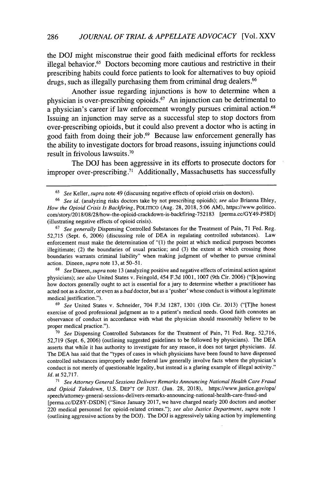the **DOJ** might misconstrue their good faith medicinal efforts for reckless illegal behavior.<sup>65</sup> Doctors becoming more cautious and restrictive in their prescribing habits could force patients to look for alternatives to buy opioid drugs, such as illegally purchasing them from criminal drug dealers **<sup>66</sup>**

Another issue regarding injunctions is how to determine when a physician is over-prescribing opioids.<sup>67</sup> An injunction can be detrimental to a physician's career if law enforcement wrongly pursues criminal action.<sup>68</sup> Issuing an injunction may serve as a successful step to stop doctors from over-prescribing opioids, but it could also prevent a doctor who is acting in good faith from doing their **job.69** Because law enforcement generally has the ability to investigate doctors for broad reasons, issuing injunctions could result in frivolous lawsuits.<sup>70</sup>

The **DOJ** has been aggressive in its efforts to prosecute doctors for improper over-prescribing.<sup>71</sup> Additionally, Massachusetts has successfully

<sup>67</sup>*See generally* Dispensing Controlled Substances for the Treatment of Pain, 71 Fed. Reg. 52,715 (Sept. 6, 2006) (discussing role of DEA in regulating controlled substances). Law enforcement must make the determination of "(1) the point at which medical purposes becomes illegitimate; (2) the boundaries of usual practice; and (3) the extent at which crossing those boundaries warrants criminal liability" when making judgment of whether to pursue criminal action. Dineen, *supra* note 13, at 50-51.

<sup>68</sup>*See* Dineen, *supra* note 13 (analyzing positive and negative effects of criminal action against physicians); *see also* United States v. Feingold, 454 F.3d 1001, 1007 (9th Cir. 2006) ("[k]nowing how doctors generally ought to act is essential for a jury to determine whether a practitioner has acted not as a doctor, or even as a *bad* doctor, but as a 'pusher' whose conduct is without a legitimate medical justification.").

<sup>69</sup>*See* United States v. Schneider, 704 F.3d 1287, 1301 (10th Cir. 2013) ("[T]he honest exercise of good professional judgment as to a patient's medical needs. Good faith connotes an observance of conduct in accordance with what the physician should reasonably believe to be proper medical practice.").

**<sup>70</sup>***See* Dispensing Controlled Substances for the Treatment of Pain, 71 Fed. Reg. 52,716, 52,719 (Sept. 6, 2006) (outlining suggested guidelines to be followed by physicians). The DEA asserts that while it has authority to investigate for any reason, it does not target physicians. *Id.* The DEA has said that the "types of cases in which physicians have been found to have dispensed controlled substances improperly under federal law generally involve facts where the physician's conduct is not merely of questionable legality, but instead is a glaring example of illegal activity." *Id.* at 52,717.

*71 See Attorney General Sessions Delivers Remarks Announcing National Health Care Fraud and Opioid Takedown,* U.S. DEP'T OF JUST. (Jun. 28, 2018), https://www.justice.gov/opa/ speech/attorney-general-sessions-delivers-remarks-announcing-national-health-care-fraud-and [perma.cc/DZ8Y-DSDN] ("Since January 2017, we have charged nearly 200 doctors and another 220 medical personnel for opioid-related crimes."); *see also Justice Department, supra* note 1 (outlining aggressive actions by the DOJ). The DOJ is aggressively taking action by implementing

<sup>65</sup>*See* Keller, *supra* note 49 (discussing negative effects of opioid crisis on doctors).

<sup>66</sup>*See id.* (analyzing risks doctors take by not prescribing opioids); *see also* Brianna Ehley, *How the Opioid Crisis Is Backfiring,* POLITICO (Aug. 28, 2018, 5:06 AM), https://www.politico. com/story/2018/08/28/how-the-opioid-crackdown-is-backfiring-752183 [perma.cc/GY49-P58D] (illustrating negative effects of opioid crisis).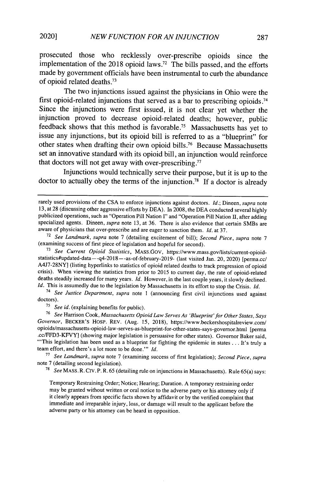prosecuted those who recklessly over-prescribe opioids since the implementation of the 2018 opioid laws.<sup>72</sup> The bills passed, and the efforts made by government officials have been instrumental to curb the abundance of opioid related deaths. <sup>73</sup>

The two injunctions issued against the physicians in Ohio were the first opioid-related injunctions that served as a bar to prescribing opioids.<sup>74</sup> Since the injunctions were first issued, it is not clear yet whether the injunction proved to decrease opioid-related deaths; however, public feedback shows that this method is favorable.<sup>75</sup> Massachusetts has yet to issue any injunctions, but its opioid bill is referred to as a "blueprint" for other states when drafting their own opioid bills.<sup>76</sup> Because Massachusetts set an innovative standard with its opioid bill, an injunction would reinforce that doctors will not get away with over-prescribing **. 77**

Injunctions would technically serve their purpose, but it is up to the doctor to actually obey the terms of the injunction **.78** If a doctor is already

**<sup>73</sup>***See Current Opioid Statistics,* MASS.GOv, https://www.mass.gov/lists/current-opioidstatistics#updated-data--q4-2018--as-of-february-2019- (last visited Jan. 20, 2020) [perma.cc/ A4J7-28NY] (listing hyperlinks to statistics of opioid related deaths to track progression of opioid crisis). When viewing the statistics from prior to 2015 to current day, the rate of opioid-related deaths steadily increased for many years. *Id.* However, in the last couple years, it slowly declined. *Id.* This is assumedly due to the legislation by Massachusetts in its effort to stop the Crisis. *Id.*

<sup>74</sup>*See Justice Department, supra* note **I** (announcing first civil injunctions used against doctors).

**<sup>75</sup>***See id.* (explaining benefits for public).

<sup>76</sup>*See* Harrison Cook, *Massachusetts Opioid Law Serves As 'Blueprint'for Other States, Says Governor,* BECKER'S HOSP. REV. (Aug. 15, 2018), https://www.beckershospitalreview.com/ opioids/massachusetts-opioid-law-serves-as-blueprint-for-other-states-says-governor.html [perma .cc/FFD3-KFVY] (showing major legislation is persuasive for other states). Governor Baker said, "'This legislation has been used as a blueprint for fighting the epidemic in states ... It's truly a team effort, and there's a lot more to be done."' *Id.*

**<sup>77</sup>***See Landmark, supra* note 7 (examining success of first legislation); *Second Piece, supra* note 7 (detailing second legislation).

**<sup>78</sup>***See* MASS. R. CIV. P. R. 65 (detailing rule on injunctions in Massachusetts). Rule 65(a) says:

Temporary Restraining Order; Notice; Hearing; Duration. A temporary restraining order may be granted without written or oral notice to the adverse party or his attorney only if it clearly appears from specific facts shown by affidavit or by the verified complaint that immediate and irreparable injury, loss, or damage will result to the applicant before the adverse party or his attorney can be heard in opposition.

rarely used provisions of the CSA to enforce injunctions against doctors. *Id.;* Dineen, *supra* note 13, at 28 (discussing other aggressive efforts by DEA). In 2008, the DEA conducted several highly publicized operations, such as "Operation Pill Nation I" and "Operation Pill Nation **11,** after adding specialized agents. Dineen, *supra* note 13, at 36. There is also evidence that certain SMBs are aware of physicians that over-prescribe and are eager to sanction them. *Id.* at 37.

<sup>72</sup>*See Landmark, supra* note 7 (detailing excitement of bill); *Second Piece, supra* note 7 (examining success of first piece of legislation and hopeful for second).